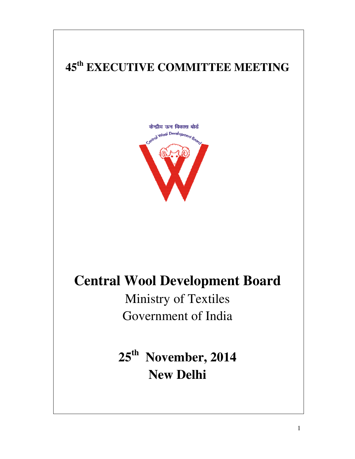# **45th EXECUTIVE COMMITTEE MEETING EXECUTIVE COMMITTEE**



# **Central Wool Development Board**

Ministry of Textiles Ministry of Government of India

**25th November, 2014 New Delhi**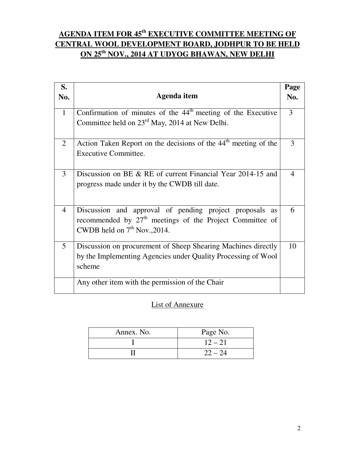# **AGENDA ITEM FOR 45th EXECUTIVE COMMITTEE MEETING OF CENTRAL WOOL DEVELOPMENT BOARD, JODHPUR TO BE HELD ON 25th NOV., 2014 AT UDYOG BHAWAN, NEW DELHI**

| S.<br>No.      | Agenda item                                                                                                                                             | Page<br>No.    |
|----------------|---------------------------------------------------------------------------------------------------------------------------------------------------------|----------------|
| $\mathbf{1}$   | Confirmation of minutes of the 44 <sup>th</sup> meeting of the Executive<br>Committee held on 23 <sup>rd</sup> May, 2014 at New Delhi.                  | 3              |
| $\overline{2}$ | Action Taken Report on the decisions of the 44 <sup>th</sup> meeting of the<br>Executive Committee.                                                     | 3              |
| 3              | Discussion on BE & RE of current Financial Year 2014-15 and<br>progress made under it by the CWDB till date.                                            | $\overline{4}$ |
| $\overline{4}$ | Discussion and approval of pending project proposals as<br>recommended by $27th$ meetings of the Project Committee of<br>CWDB held on $7th$ Nov., 2014. | 6              |
| 5              | Discussion on procurement of Sheep Shearing Machines directly<br>by the Implementing Agencies under Quality Processing of Wool<br>scheme                | 10             |
|                | Any other item with the permission of the Chair                                                                                                         |                |

# List of Annexure

| Annex. No. | Page No.  |
|------------|-----------|
|            | $12 - 21$ |
|            | $22 - 24$ |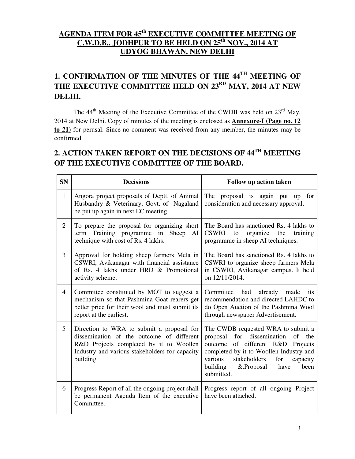# **AGENDA ITEM FOR 45th EXECUTIVE COMMITTEE MEETING OF C.W.D.B., JODHPUR TO BE HELD ON 25th NOV., 2014 AT UDYOG BHAWAN, NEW DELHI**

# **1. CONFIRMATION OF THE MINUTES OF THE 44TH MEETING OF THE EXECUTIVE COMMITTEE HELD ON 23RD MAY, 2014 AT NEW DELHI.**

The  $44<sup>th</sup>$  Meeting of the Executive Committee of the CWDB was held on  $23<sup>rd</sup>$  May, 2014 at New Delhi. Copy of minutes of the meeting is enclosed as **Annexure-I (Page no. 12 to 21)** for perusal. Since no comment was received from any member, the minutes may be confirmed.

# **2. ACTION TAKEN REPORT ON THE DECISIONS OF 44TH MEETING OF THE EXECUTIVE COMMITTEE OF THE BOARD.**

| <b>SN</b>      | <b>Decisions</b>                                                                                                                                                                                 | Follow up action taken                                                                                                                                                                                                                                                    |  |
|----------------|--------------------------------------------------------------------------------------------------------------------------------------------------------------------------------------------------|---------------------------------------------------------------------------------------------------------------------------------------------------------------------------------------------------------------------------------------------------------------------------|--|
| $\mathbf{1}$   | Angora project proposals of Deptt. of Animal<br>Husbandry & Veterinary, Govt. of Nagaland<br>be put up again in next EC meeting.                                                                 | The proposal is again put up for<br>consideration and necessary approval.                                                                                                                                                                                                 |  |
| $\overline{2}$ | To prepare the proposal for organizing short<br>Training programme in<br>Sheep AI<br>term<br>technique with cost of Rs. 4 lakhs.                                                                 | The Board has sanctioned Rs. 4 lakhs to<br>organize the<br><b>CSWRI</b><br>to<br>training<br>programme in sheep AI techniques.                                                                                                                                            |  |
| 3              | Approval for holding sheep farmers Mela in<br>CSWRI, Avikanagar with financial assistance<br>of Rs. 4 lakhs under HRD & Promotional<br>activity scheme.                                          | The Board has sanctioned Rs. 4 lakhs to<br>CSWRI to organize sheep farmers Mela<br>in CSWRI, Avikanagar campus. It held<br>on 12/11/2014.                                                                                                                                 |  |
| $\overline{4}$ | Committee constituted by MOT to suggest a<br>mechanism so that Pashmina Goat rearers get<br>better price for their wool and must submit its<br>report at the earliest.                           | had<br>already<br>Committee<br>made<br>its<br>recommendation and directed LAHDC to<br>do Open Auction of the Pashmina Wool<br>through newspaper Advertisement.                                                                                                            |  |
| 5              | Direction to WRA to submit a proposal for<br>dissemination of the outcome of different<br>R&D Projects completed by it to Woollen<br>Industry and various stakeholders for capacity<br>building. | The CWDB requested WRA to submit a<br>dissemination<br>for<br>proposal<br>of<br>the<br>outcome of different R&D Projects<br>completed by it to Woollen Industry and<br>stakeholders<br>various<br>for<br>capacity<br>building<br>&.Proposal<br>have<br>been<br>submitted. |  |
| 6              | Progress Report of all the ongoing project shall<br>be permanent Agenda Item of the executive<br>Committee.                                                                                      | Progress report of all ongoing Project<br>have been attached.                                                                                                                                                                                                             |  |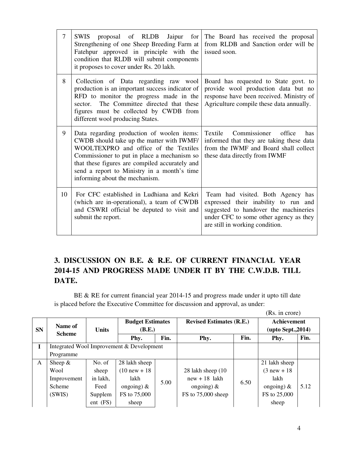| 7  | SWIS proposal of RLDB Jaipur for<br>Strengthening of one Sheep Breeding Farm at<br>Fatehpur approved in principle with the<br>condition that RLDB will submit components<br>it proposes to cover under Rs. 20 lakh.                                                                                                | The Board has received the proposal<br>from RLDB and Sanction order will be<br>issued soon.                                                                                                     |
|----|--------------------------------------------------------------------------------------------------------------------------------------------------------------------------------------------------------------------------------------------------------------------------------------------------------------------|-------------------------------------------------------------------------------------------------------------------------------------------------------------------------------------------------|
| 8  | Collection of Data regarding raw wool<br>production is an important success indicator of<br>RFD to monitor the progress made in the<br>The Committee directed that these<br>sector.<br>figures must be collected by CWDB from<br>different wool producing States.                                                  | Board has requested to State govt. to<br>provide wool production data but no<br>response have been received. Ministry of<br>Agriculture compile these data annually.                            |
| 9  | Data regarding production of woolen items:<br>CWDB should take up the matter with IWMF/<br>WOOLTEXPRO and office of the Textiles<br>Commissioner to put in place a mechanism so<br>that these figures are compiled accurately and<br>send a report to Ministry in a month's time<br>informing about the mechanism. | Textile<br>Commissioner<br>office<br>has<br>informed that they are taking these data<br>from the IWMF and Board shall collect<br>these data directly from IWMF                                  |
| 10 | For CFC established in Ludhiana and Kekri<br>(which are in-operational), a team of CWDB<br>and CSWRI official be deputed to visit and<br>submit the report.                                                                                                                                                        | Team had visited. Both Agency has<br>expressed their inability to run and<br>suggested to handover the machineries<br>under CFC to some other agency as they<br>are still in working condition. |

# **3. DISCUSSION ON B.E. & R.E. OF CURRENT FINANCIAL YEAR 2014-15 AND PROGRESS MADE UNDER IT BY THE C.W.D.B. TILL DATE.**

 BE & RE for current financial year 2014-15 and progress made under it upto till date is placed before the Executive Committee for discussion and approval, as under:

|              |                                           |                                                   |                 |      |                                 |      | (Rs. in crore)                           |      |
|--------------|-------------------------------------------|---------------------------------------------------|-----------------|------|---------------------------------|------|------------------------------------------|------|
| <b>SN</b>    | Name of                                   | <b>Budget Estimates</b><br>(B.E.)<br><b>Units</b> |                 |      | <b>Revised Estimates (R.E.)</b> |      | <b>Achievement</b><br>(upto Sept., 2014) |      |
|              | <b>Scheme</b>                             |                                                   | Phy.            | Fin. | Phy.                            | Fin. | Phy.                                     | Fin. |
| I            | Integrated Wool Improvement & Development |                                                   |                 |      |                                 |      |                                          |      |
|              | Programme                                 |                                                   |                 |      |                                 |      |                                          |      |
| $\mathsf{A}$ | Sheep $\&$                                | No. of                                            | 28 lakh sheep   |      |                                 |      | 21 lakh sheep                            |      |
|              | Wool                                      | sheep                                             | $(10 new + 18)$ |      | 28 lakh sheep (10)              |      | $(3$ new + 18                            |      |
|              | Improvement                               | in lakh,                                          | lakh            | 5.00 | $new + 18$ lakh                 | 6.50 | lakh                                     |      |
|              | Scheme                                    | Feed                                              | ongoing) $&$    |      | ongoing) $\&$                   |      | ongoing) $\&$                            | 5.12 |
|              | (SWIS)                                    | Supplem                                           | FS to 75,000    |      | FS to 75,000 sheep              |      | FS to 25,000                             |      |
|              |                                           | ent (FS)                                          | sheep           |      |                                 |      | sheep                                    |      |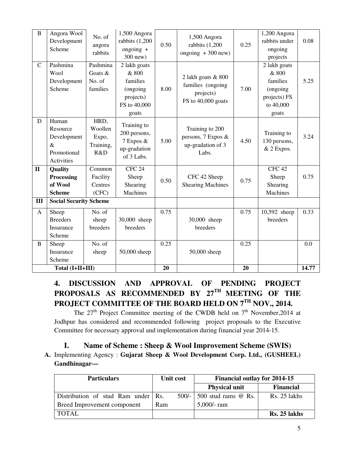| B                | Angora Wool<br>Development<br>Scheme                                         | No. of<br>angora<br>rabbits                  | 1,500 Angora<br>rabbits (1,200<br>ongoing $+$<br>300 new)                                        | 0.50 | 1,500 Angora<br>rabbits $(1,200)$<br>ongoing $+300$ new)                   | 0.25 | 1,200 Angora<br>rabbits under<br>ongoing<br>projects                                | 0.08 |
|------------------|------------------------------------------------------------------------------|----------------------------------------------|--------------------------------------------------------------------------------------------------|------|----------------------------------------------------------------------------|------|-------------------------------------------------------------------------------------|------|
| $\mathsf{C}$     | Pashmina<br>Wool<br>Development<br>Scheme                                    | Pashmina<br>Goats &<br>No. of<br>families    | $\overline{2}$ lakh goats<br>& 800<br>families<br>(ongoing<br>projects)<br>FS to 40,000<br>goats | 8.00 | 2 lakh goats & 800<br>families (ongoing<br>projects)<br>FS to 40,000 goats | 7.00 | 2 lakh goats<br>& 800<br>families<br>(ongoing<br>projects) FS<br>to 40,000<br>goats | 5.25 |
| D                | Human<br>Resource<br>Development<br>$\&$<br>Promotional<br><b>Activities</b> | HRD,<br>Woollen<br>Expo,<br>Training,<br>R&D | Training to<br>200 persons,<br>7 Expos &<br>up-gradation<br>of 3 Labs.                           | 5.00 | Training to 200<br>persons, 7 Expos &<br>up-gradation of 3<br>Labs.        | 4.50 | Training to<br>130 persons,<br>& 2 Expos.                                           | 3.24 |
| $\mathbf{I}$     | Quality<br>Processing<br>of Wool<br><b>Scheme</b>                            | Common<br>Facility<br>Centres<br>(CFC)       | CFC <sub>24</sub><br>Sheep<br>Shearing<br><b>Machines</b>                                        | 0.50 | CFC 42 Sheep<br><b>Shearing Machines</b>                                   | 0.75 | CFC <sub>42</sub><br>Sheep<br>Shearing<br>Machines                                  | 0.75 |
| $\mathbf{I}$     | <b>Social Security Scheme</b>                                                |                                              |                                                                                                  |      |                                                                            |      |                                                                                     |      |
| A                | Sheep<br><b>Breeders</b><br>Insurance<br>Scheme                              | No. of<br>sheep<br>breeders                  | 30,000 sheep<br>breeders                                                                         | 0.75 | 30,000 sheep<br>breeders                                                   | 0.75 | 10,592 sheep<br>breeders                                                            | 0.33 |
| B                | Sheep<br>Insurance<br>Scheme                                                 | No. of<br>sheep                              | 50,000 sheep                                                                                     | 0.25 | 50,000 sheep                                                               | 0.25 |                                                                                     | 0.0  |
| Total (I+II+III) |                                                                              |                                              | 20                                                                                               |      | 20                                                                         |      | 14.77                                                                               |      |

# **4. DISCUSSION AND APPROVAL OF PENDING PROJECT PROPOSALS AS RECOMMENDED BY 27TH MEETING OF THE PROJECT COMMITTEE OF THE BOARD HELD ON 7TH NOV., 2014.**

The  $27<sup>th</sup>$  Project Committee meeting of the CWDB held on  $7<sup>th</sup>$  November, 2014 at Jodhpur has considered and recommended following project proposals to the Executive Committee for necessary approval and implementation during financial year 2014-15.

**I. Name of Scheme : Sheep & Wool Improvement Scheme (SWIS)** 

**A.** Implementing Agency : **Gujarat Sheep & Wool Development Corp. Ltd., (GUSHEEL) Gandhinagar—**

| <b>Particulars</b><br><b>Unit cost</b> |         | <b>Financial outlay for 2014-15</b> |                  |  |
|----------------------------------------|---------|-------------------------------------|------------------|--|
|                                        |         | <b>Physical unit</b>                | <b>Financial</b> |  |
| Distribution of stud Ram under Rs.     | $500/-$ | 500 stud rams $@$ Rs.               | Rs. 25 lakhs     |  |
| Breed Improvement component            | Ram     | $5,000/$ - ram                      |                  |  |
| TOTAL                                  |         |                                     | Rs. 25 lakhs     |  |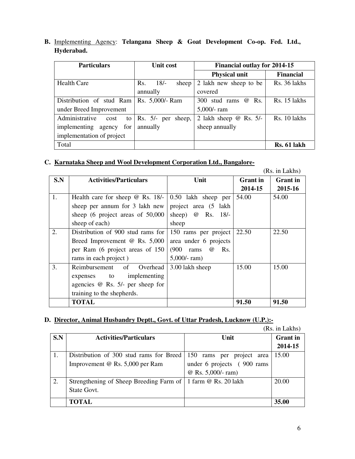**B.** Implementing Agency: **Telangana Sheep & Goat Development Co-op. Fed. Ltd., Hyderabad.** 

| <b>Particulars</b>           | Unit cost               | <b>Financial outlay for 2014-15</b> |                  |
|------------------------------|-------------------------|-------------------------------------|------------------|
|                              |                         | <b>Physical unit</b>                | <b>Financial</b> |
| <b>Health Care</b>           | 18/<br>Rs.<br>sheep     | 2 lakh new sheep to be              | Rs. 36 lakhs     |
|                              | annually                | covered                             |                  |
| Distribution of stud Ram     | Rs. 5,000/- Ram         | 300 stud rams @<br>Rs.              | Rs. 15 lakhs     |
| under Breed Improvement      |                         | 5,000/- ram                         |                  |
| Administrative<br>to<br>cost | $Rs. 5/- per$<br>sheep, | 2 lakh sheep $@$ Rs. 5/-            | Rs. 10 lakhs     |
| implementing agency for      | annually                | sheep annually                      |                  |
| implementation of project    |                         |                                     |                  |
| Total                        |                         |                                     | Rs. 61 lakh      |

## **C. Karnataka Sheep and Wool Development Corporation Ltd., Bangalore-**

|     |                                              |                                  |                 | (Rs. in Lakhs)  |
|-----|----------------------------------------------|----------------------------------|-----------------|-----------------|
| S.N | <b>Activities/Particulars</b>                | Unit                             | <b>Grant</b> in | <b>Grant</b> in |
|     |                                              |                                  | 2014-15         | 2015-16         |
| 1.  | Health care for sheep $\omega$ Rs. 18/-      | 0.50 lakh sheep per              | 54.00           | 54.00           |
|     | sheep per annum for 3 lakh new               | project area (5 lakh             |                 |                 |
|     | sheep $(6 \text{ project areas of } 50,000)$ | sheep) $\omega$ Rs. 18/-         |                 |                 |
|     | sheep of each)                               | sheep                            |                 |                 |
| 2.  | Distribution of 900 stud rams for            | 150 rams per project             | 22.50           | 22.50           |
|     | Breed Improvement $\omega$ Rs. 5,000         | area under 6 projects            |                 |                 |
|     | per Ram (6 project areas of 150              | (900)<br>Rs.<br>rams<br>$\omega$ |                 |                 |
|     | rams in each project)                        | $5,000$ /-ram)                   |                 |                 |
| 3.  | Reimbursement of<br>Overhead                 | 3.00 lakh sheep                  | 15.00           | 15.00           |
|     | expenses to implementing                     |                                  |                 |                 |
|     | agencies $@$ Rs. 5/- per sheep for           |                                  |                 |                 |
|     | training to the shepherds.                   |                                  |                 |                 |
|     | TOTAL                                        |                                  | 91.50           | 91.50           |

## **D. Director, Animal Husbandry Deptt., Govt. of Uttar Pradesh, Lucknow (U.P.):-**

|  | (Rs. in Lakhs) |
|--|----------------|
|  |                |

|     |                                                                |                              | $(10.1)$ . III LANIIO |
|-----|----------------------------------------------------------------|------------------------------|-----------------------|
| S.N | <b>Activities/Particulars</b>                                  | Unit                         | <b>Grant</b> in       |
|     |                                                                |                              | 2014-15               |
|     | Distribution of 300 stud rams for Breed                        | 150 rams per project<br>area | 15.00                 |
|     | Improvement @ Rs. 5,000 per Ram                                | under 6 projects (900 rams)  |                       |
|     |                                                                | @ Rs. 5,000/- ram)           |                       |
| 2.  | Strengthening of Sheep Breeding Farm of   1 farm @ Rs. 20 lakh |                              | 20.00                 |
|     | State Govt.                                                    |                              |                       |
|     | <b>TOTAL</b>                                                   |                              | 35.00                 |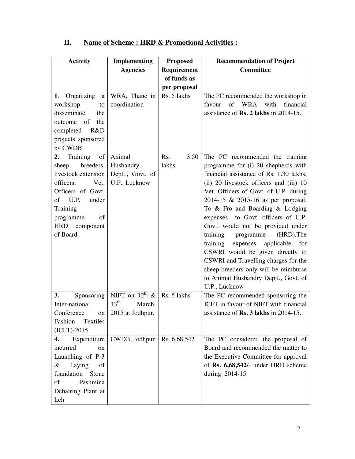| <b>Activity</b>                                                                                                      | <b>Implementing</b>        | <b>Proposed</b> | <b>Recommendation of Project</b>             |
|----------------------------------------------------------------------------------------------------------------------|----------------------------|-----------------|----------------------------------------------|
|                                                                                                                      | <b>Agencies</b>            | Requirement     | <b>Committee</b>                             |
|                                                                                                                      |                            | of funds as     |                                              |
|                                                                                                                      |                            | per proposal    |                                              |
| 1. Organizing<br>a                                                                                                   | WRA, Thane in              | Rs. 5 lakhs     | The PC recommended the workshop in           |
| workshop<br>to                                                                                                       | coordination               |                 | WRA with<br>financial<br>of<br>favour        |
| disseminate<br>the                                                                                                   |                            |                 | assistance of <b>Rs. 2 lakhs</b> in 2014-15. |
| of<br>the<br>outcome                                                                                                 |                            |                 |                                              |
| completed<br>R&D                                                                                                     |                            |                 |                                              |
| projects sponsored                                                                                                   |                            |                 |                                              |
| by CWDB                                                                                                              |                            |                 |                                              |
| Training<br>$% \left( \left( \mathcal{A},\mathcal{A}\right) \right) =\left( \mathcal{A},\mathcal{A}\right)$ of<br>2. | Animal                     | Rs.<br>3.50     | The PC recommended the training              |
| breeders,<br>sheep                                                                                                   | Husbandry                  | lakhs           | programme for (i) 20 shepherds with          |
| livestock extension                                                                                                  | Deptt., Govt. of           |                 | financial assistance of Rs. 1.30 lakhs,      |
| officers,<br>Vet.                                                                                                    | U.P., Lucknow              |                 | (ii) 20 livestock officers and (iii) 10      |
| Officers of Govt.                                                                                                    |                            |                 | Vet. Officers of Govt. of U.P. during        |
| U.P.<br>under<br>of                                                                                                  |                            |                 | 2014-15 & 2015-16 as per proposal.           |
| Training                                                                                                             |                            |                 | To & Fro and Boarding & Lodging              |
| programme<br>of                                                                                                      |                            |                 | to Govt. officers of U.P.<br>expenses        |
| <b>HRD</b><br>component                                                                                              |                            |                 | Govt. would not be provided under            |
| of Board.                                                                                                            |                            |                 | (HRD).The<br>training<br>programme           |
|                                                                                                                      |                            |                 | applicable<br>training<br>expenses<br>for    |
|                                                                                                                      |                            |                 | CSWRI would be given directly to             |
|                                                                                                                      |                            |                 | CSWRI and Travelling charges for the         |
|                                                                                                                      |                            |                 | sheep breeders only will be reimburse        |
|                                                                                                                      |                            |                 | to Animal Husbandry Deptt., Govt. of         |
|                                                                                                                      |                            |                 | U.P., Lucknow                                |
| Sponsoring<br>3.                                                                                                     | NIFT on $12^{\text{th}}$ & | Rs. 5 lakhs     | The PC recommended sponsoring the            |
| Inter-national                                                                                                       | $13^{\text{th}}$<br>March, |                 | ICFT in favour of NIFT with financial        |
| Conference<br>on                                                                                                     | 2015 at Jodhpur.           |                 | assistance of Rs. 3 lakhs in 2014-15.        |
| Textiles<br>Fashion                                                                                                  |                            |                 |                                              |
| $(ICFT)-2015$                                                                                                        |                            |                 |                                              |
| Expenditure<br>4.                                                                                                    | CWDB, Jodhpur              | Rs. 6, 68, 542  | The PC considered the proposal of            |
| incurred<br>on                                                                                                       |                            |                 | Board and recommended the matter to          |
| Launching of P-3                                                                                                     |                            |                 | the Executive Committee for approval         |
| Laying<br>&<br>of                                                                                                    |                            |                 | of Rs. 6,68,542/- under HRD scheme           |
| foundation<br>Stone                                                                                                  |                            |                 | during 2014-15.                              |
| of<br>Pashmina                                                                                                       |                            |                 |                                              |
| Dehairing Plant at                                                                                                   |                            |                 |                                              |
| Leh                                                                                                                  |                            |                 |                                              |

# **II. Name of Scheme : HRD & Promotional Activities :**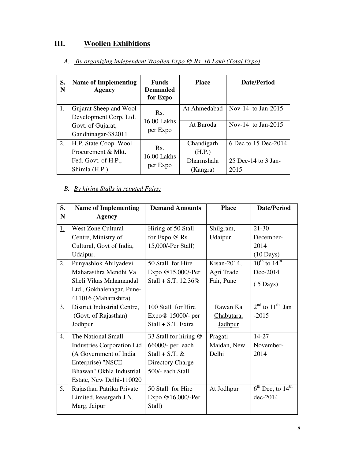# **III. Woollen Exhibitions**

| S.<br>N | <b>Name of Implementing</b><br>Agency            | <b>Funds</b><br><b>Demanded</b><br>for Expo | <b>Place</b>                  | Date/Period                   |
|---------|--------------------------------------------------|---------------------------------------------|-------------------------------|-------------------------------|
| 1.      | Gujarat Sheep and Wool<br>Development Corp. Ltd. | Rs.<br>16.00 Lakhs                          | At Ahmedabad                  | Nov-14 to Jan-2015            |
|         | Govt. of Gujarat,<br>Gandhinagar-382011          | per Expo                                    | At Baroda                     | Nov-14 to Jan-2015            |
| 2.      | H.P. State Coop. Wool<br>Procurement & Mkt.      | Rs.<br>16.00 Lakhs                          | Chandigarh<br>(H.P.)          | 6 Dec to 15 Dec-2014          |
|         | Fed. Govt. of H.P.,<br>Shimla (H.P.)             | per Expo                                    | <b>Dharmshala</b><br>(Kangra) | 25 Dec-14 to $3$ Jan-<br>2015 |

## *A. By organizing independent Woollen Expo @ Rs. 16 Lakh (Total Expo)*

## *B. By hiring Stalls in reputed Fairs:*

| S.               | <b>Name of Implementing</b>       | <b>Demand Amounts</b> | <b>Place</b>   | <b>Date/Period</b>                       |
|------------------|-----------------------------------|-----------------------|----------------|------------------------------------------|
| $\mathbf N$      | <b>Agency</b>                     |                       |                |                                          |
| <u>1.</u>        | <b>West Zone Cultural</b>         | Hiring of 50 Stall    | Shilgram,      | $21 - 30$                                |
|                  | Centre, Ministry of               | for Expo @ Rs.        | Udaipur.       | December-                                |
|                  | Cultural, Govt of India,          | 15,000/-Per Stall)    |                | 2014                                     |
|                  | Udaipur.                          |                       |                | $(10 \text{ Days})$                      |
| 2.               | Punyashlok Ahilyadevi             | 50 Stall for Hire     | Kisan-2014,    | $10^{\text{th}}$ to $14^{\text{th}}$     |
|                  | Maharasthra Mendhi Va             | Expo @15,000/-Per     | Agri Trade     | Dec-2014                                 |
|                  | Sheli Vikas Mahamandal            | Stall + S.T. 12.36%   | Fair, Pune     | $(5 \text{ Days})$                       |
|                  | Ltd., Gokhalenagar, Pune-         |                       |                |                                          |
|                  | 411016 (Maharashtra)              |                       |                |                                          |
| 3.               | District Industrial Centre,       | 100 Stall for Hire    | Rawan Ka       | $2nd$ to $11th$ Jan                      |
|                  | (Govt. of Rajasthan)              | Expo@ 15000/- per     | Chabutara,     | $-2015$                                  |
|                  | Jodhpur                           | Stall + S.T. Extra    | <b>Jadhpur</b> |                                          |
| $\overline{4}$ . | The National Small                | 33 Stall for hiring @ | Pragati        | $14 - 27$                                |
|                  | <b>Industries Corporation Ltd</b> | 66000/- per each      | Maidan, New    | November-                                |
|                  | (A Government of India            | Stall + S.T. $&$      | Delhi          | 2014                                     |
|                  | Enterprise) "NSCE                 | Directory Charge      |                |                                          |
|                  | Bhawan" Okhla Industrial          | 500/- each Stall      |                |                                          |
|                  | Estate, New Delhi-110020          |                       |                |                                          |
| 5.               | Rajasthan Patrika Private         | 50 Stall for Hire     | At Jodhpur     | $6^{\text{th}}$ Dec, to $14^{\text{th}}$ |
|                  | Limited, keasrgarh J.N.           | Expo @16,000/-Per     |                | $dec-2014$                               |
|                  | Marg, Jaipur                      | Stall)                |                |                                          |
|                  |                                   |                       |                |                                          |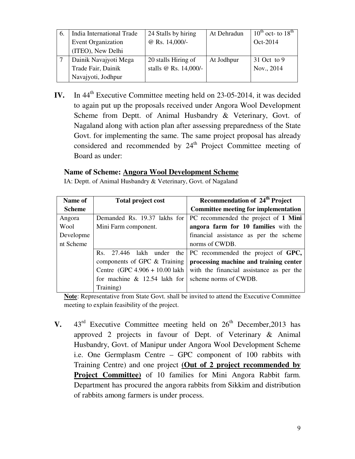| 6. | India International Trade | 24 Stalls by hiring   | At Dehradun | $10^{th}$ oct- to $18^{th}$ |
|----|---------------------------|-----------------------|-------------|-----------------------------|
|    | <b>Event Organization</b> | @ Rs. 14,000/-        |             | Oct-2014                    |
|    | (ITEO), New Delhi         |                       |             |                             |
|    | Dainik Navajyoti Mega     | 20 stalls Hiring of   | At Jodhpur  | 31 Oct to 9                 |
|    | Trade Fair, Dainik        | stalls @ Rs. 14,000/- |             | Nov., 2014                  |
|    | Navajyoti, Jodhpur        |                       |             |                             |

**IV.** In 44<sup>th</sup> Executive Committee meeting held on 23-05-2014, it was decided to again put up the proposals received under Angora Wool Development Scheme from Deptt. of Animal Husbandry & Veterinary, Govt. of Nagaland along with action plan after assessing preparedness of the State Govt. for implementing the same. The same project proposal has already considered and recommended by  $24<sup>th</sup>$  Project Committee meeting of Board as under:

## **Name of Scheme: Angora Wool Development Scheme**

| IA: Deptt. of Animal Husbandry & Veterinary, Govt. of Nagaland |  |
|----------------------------------------------------------------|--|
|                                                                |  |

| Name of       | <b>Total project cost</b>                             | Recommendation of 24 <sup>th</sup> Project                                |
|---------------|-------------------------------------------------------|---------------------------------------------------------------------------|
| <b>Scheme</b> |                                                       | <b>Committee meeting for implementation</b>                               |
| Angora        |                                                       | Demanded Rs. 19.37 lakhs for $\vert$ PC recommended the project of 1 Mini |
| Wool          | Mini Farm component.                                  | angora farm for 10 families with the                                      |
| Developme     |                                                       | financial assistance as per the scheme                                    |
| nt Scheme     |                                                       | norms of CWDB.                                                            |
|               |                                                       | Rs. 27.446 lakh under the $PC$ recommended the project of $GPC$ ,         |
|               |                                                       | components of GPC & Training   processing machine and training center     |
|               |                                                       | Centre (GPC $4.906 + 10.00$ lakh with the financial assistance as per the |
|               | for machine $\&$ 12.54 lakh for scheme norms of CWDB. |                                                                           |
|               | Training)                                             |                                                                           |

**Note**: Representative from State Govt. shall be invited to attend the Executive Committee meeting to explain feasibility of the project.

**V.**  $43^{rd}$  Executive Committee meeting held on  $26^{th}$  December, 2013 has approved 2 projects in favour of Dept. of Veterinary & Animal Husbandry, Govt. of Manipur under Angora Wool Development Scheme i.e. One Germplasm Centre – GPC component of 100 rabbits with Training Centre) and one project **(Out of 2 project recommended by Project Committee)** of 10 families for Mini Angora Rabbit farm. Department has procured the angora rabbits from Sikkim and distribution of rabbits among farmers is under process.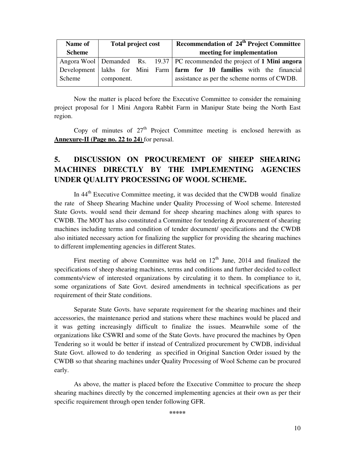| Name of       | <b>Total project cost</b> |  |  | Recommendation of 24 <sup>th</sup> Project Committee                           |
|---------------|---------------------------|--|--|--------------------------------------------------------------------------------|
| <b>Scheme</b> |                           |  |  | meeting for implementation                                                     |
|               |                           |  |  | Angora Wool   Demanded Rs. 19.37   PC recommended the project of 1 Mini angora |
|               |                           |  |  | Development lakhs for Mini Farm farm for 10 families with the financial        |
| Scheme        | component.                |  |  | assistance as per the scheme norms of CWDB.                                    |

Now the matter is placed before the Executive Committee to consider the remaining project proposal for 1 Mini Angora Rabbit Farm in Manipur State being the North East region.

Copy of minutes of  $27<sup>th</sup>$  Project Committee meeting is enclosed herewith as **Annexure-II (Page no. 22 to 24)** for perusal.

# **5. DISCUSSION ON PROCUREMENT OF SHEEP SHEARING MACHINES DIRECTLY BY THE IMPLEMENTING AGENCIES UNDER QUALITY PROCESSING OF WOOL SCHEME.**

In 44<sup>th</sup> Executive Committee meeting, it was decided that the CWDB would finalize the rate of Sheep Shearing Machine under Quality Processing of Wool scheme. Interested State Govts. would send their demand for sheep shearing machines along with spares to CWDB. The MOT has also constituted a Committee for tendering & procurement of shearing machines including terms and condition of tender document/ specifications and the CWDB also initiated necessary action for finalizing the supplier for providing the shearing machines to different implementing agencies in different States.

First meeting of above Committee was held on  $12<sup>th</sup>$  June, 2014 and finalized the specifications of sheep shearing machines, terms and conditions and further decided to collect comments/view of interested organizations by circulating it to them. In compliance to it, some organizations of Sate Govt. desired amendments in technical specifications as per requirement of their State conditions.

 Separate State Govts. have separate requirement for the shearing machines and their accessories, the maintenance period and stations where these machines would be placed and it was getting increasingly difficult to finalize the issues. Meanwhile some of the organizations like CSWRI and some of the State Govts. have procured the machines by Open Tendering so it would be better if instead of Centralized procurement by CWDB, individual State Govt. allowed to do tendering as specified in Original Sanction Order issued by the CWDB so that shearing machines under Quality Processing of Wool Scheme can be procured early.

 As above, the matter is placed before the Executive Committee to procure the sheep shearing machines directly by the concerned implementing agencies at their own as per their specific requirement through open tender following GFR.

**\*\*\*\*\***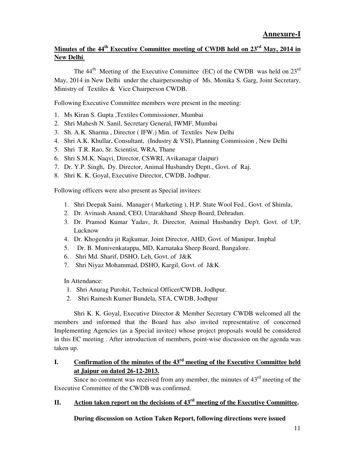# **Minutes of the 44th Executive Committee meeting of CWDB held on 23rd May, 2014 in New Delhi**.

The  $44<sup>th</sup>$  Meeting of the Executive Committee (EC) of the CWDB was held on  $23<sup>rd</sup>$ May, 2014 in New Delhi under the chairpersonship of Ms. Monika S. Garg, Joint Secretary, Ministry of Textiles & Vice Chairperson CWDB.

Following Executive Committee members were present in the meeting:

- 1. Ms Kiran S. Gupta ,Textiles Commissioner, Mumbai
- 2. Shri Mahesh N. Sanil, Secretary General, IWMF, Mumbai
- 3. Sh. A.K. Sharma , Director ( IFW.) Min. of Textiles New Delhi
- 4. Shri A.K. Khullar, Consultant, (Industry & VSI), Planning Commission , New Delhi
- 5. Shri T.R. Rao, Sr. Scientist, WRA, Thane
- 6. Shri S.M.K. Naqvi, Director, CSWRI, Avikanagar (Jaipur)
- 7. Dr. Y.P. Singh, Dy. Director, Animal Husbandry Deptt., Govt. of Raj.
- 8. Shri K. K. Goyal, Executive Director, CWDB, Jodhpur.

Following officers were also present as Special invitees:

- 1. Shri Deepak Saini, Manager ( Marketing ), H.P. State Wool Fed., Govt. of Shimla,
- 2. Dr. Avinash Anand, CEO, Uttarakhand Sheep Board, Dehradun.
- 3. Dr. Pramod Kumar Yadav, Jt. Director, Animal Husbandry Dep't. Govt. of UP, Lucknow
- 4. Dr. Khogendra jit Rajkumar, Joint Director, AHD, Govt. of Manipur, Imphal
- 5. Dr. B. Munivenkatappa, MD, Karnataka Sheep Board, Bangalore.
- 6. Shri Md. Sharif, DSHO, Leh, Govt. of J&K
- 7. Shri Niyaz Mohammad, DSHO, Kargil, Govt. of J&K

In Attendance:

- 1. Shri Anurag Purohit, Technical Officer/CWDB, Jodhpur.
- 2. Shri Ramesh Kumer Bundela, STA, CWDB, Jodhpur

Shri K. K. Goyal, Executive Director & Member Secretary CWDB welcomed all the members and informed that the Board has also invited representative of concerned Implementing Agencies (as a Special invitee) whose project proposals would be considered in this EC meeting . After introduction of members, point-wise discussion on the agenda was taken up.

## **I. Confirmation of the minutes of the 43rd meeting of the Executive Committee held at Jaipur on dated 26-12-2013.**

Since no comment was received from any member, the minutes of  $43<sup>rd</sup>$  meeting of the Executive Committee of the CWDB was confirmed.

## **II. Action taken report on the decisions of 43rd meeting of the Executive Committee.**

**During discussion on Action Taken Report, following directions were issued**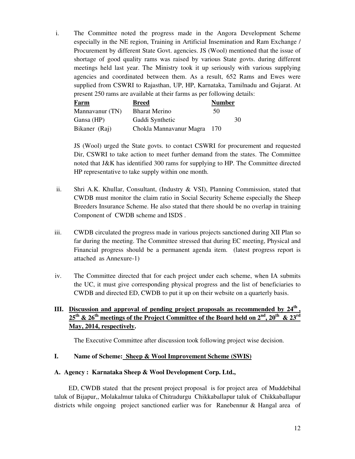i. The Committee noted the progress made in the Angora Development Scheme especially in the NE region, Training in Artificial Insemination and Ram Exchange / Procurement by different State Govt. agencies. JS (Wool) mentioned that the issue of shortage of good quality rams was raised by various State govts. during different meetings held last year. The Ministry took it up seriously with various supplying agencies and coordinated between them. As a result, 652 Rams and Ewes were supplied from CSWRI to Rajasthan, UP, HP, Karnataka, Tamilnadu and Gujarat. At present 250 rams are available at their farms as per following details:

| <b>Farm</b>     | <b>Breed</b>            | <b>Number</b> |    |
|-----------------|-------------------------|---------------|----|
| Mannavanur (TN) | <b>Bharat Merino</b>    | 50            |    |
| Gansa (HP)      | Gaddi Synthetic         |               | 30 |
| Bikaner (Raj)   | Chokla Mannavanur Magra | 170           |    |

JS (Wool) urged the State govts. to contact CSWRI for procurement and requested Dir, CSWRI to take action to meet further demand from the states. The Committee noted that J&K has identified 300 rams for supplying to HP. The Committee directed HP representative to take supply within one month.

- ii. Shri A.K. Khullar, Consultant, (Industry & VSI), Planning Commission, stated that CWDB must monitor the claim ratio in Social Security Scheme especially the Sheep Breeders Insurance Scheme. He also stated that there should be no overlap in training Component of CWDB scheme and ISDS .
- iii. CWDB circulated the progress made in various projects sanctioned during XII Plan so far during the meeting. The Committee stressed that during EC meeting, Physical and Financial progress should be a permanent agenda item. (latest progress report is attached as Annexure-1)
- iv. The Committee directed that for each project under each scheme, when IA submits the UC, it must give corresponding physical progress and the list of beneficiaries to CWDB and directed ED, CWDB to put it up on their website on a quarterly basis.

#### **III. Discussion and approval of pending project proposals as recommended by 24th ,**   $25$ <sup>th</sup> &  $26$ <sup>th</sup> meetings of the Project Committee of the Board held on  $2^{nd}$ ,  $20$ <sup>th</sup> &  $23$ <sup>rd</sup> **May, 2014, respectively.**

The Executive Committee after discussion took following project wise decision.

#### **I. Name of Scheme: Sheep & Wool Improvement Scheme (SWIS)**

#### **A. Agency : Karnataka Sheep & Wool Development Corp. Ltd.,**

ED, CWDB stated that the present project proposal is for project area of Muddebihal taluk of Bijapur,, Molakalmur taluka of Chitradurgu Chikkaballapur taluk of Chikkaballapur districts while ongoing project sanctioned earlier was for Ranebennur & Hangal area of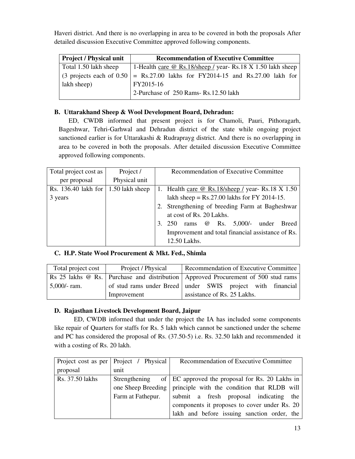Haveri district. And there is no overlapping in area to be covered in both the proposals After detailed discussion Executive Committee approved following components.

| <b>Project / Physical unit</b> | <b>Recommendation of Executive Committee</b>                                                  |  |  |  |  |
|--------------------------------|-----------------------------------------------------------------------------------------------|--|--|--|--|
| Total 1.50 lakh sheep          | 1-Health care $\omega$ Rs.18/sheep / year- Rs.18 X 1.50 lakh sheep                            |  |  |  |  |
|                                | $\vert$ (3 projects each of 0.50 $\vert$ = Rs.27.00 lakhs for FY2014-15 and Rs.27.00 lakh for |  |  |  |  |
| lakh sheep)                    | FY2015-16                                                                                     |  |  |  |  |
|                                | 2-Purchase of 250 Rams-Rs.12.50 lakh                                                          |  |  |  |  |

## **B. Uttarakhand Sheep & Wool Development Board, Dehradun:**

ED, CWDB informed that present project is for Chamoli, Pauri, Pithoragarh, Bageshwar, Tehri-Garhwal and Dehradun district of the state while ongoing project sanctioned earlier is for Uttarakashi & Rudraprayg district. And there is no overlapping in area to be covered in both the proposals. After detailed discussion Executive Committee approved following components.

| Total project cost as                       | Project /     | Recommendation of Executive Committee                        |
|---------------------------------------------|---------------|--------------------------------------------------------------|
| per proposal                                | Physical unit |                                                              |
| Rs. 136.40 lakh for $\vert$ 1.50 lakh sheep |               | 1. Health care $\omega$ Rs.18/sheep / year- Rs.18 X 1.50     |
| 3 years                                     |               | lakh sheep = $Rs.27.00$ lakhs for FY 2014-15.                |
|                                             |               | 2. Strengthening of breeding Farm at Bagheshwar              |
|                                             |               | at cost of Rs. 20 Lakhs.                                     |
|                                             |               | rams $\omega$ Rs. 5,000/- under<br><b>Breed</b><br>250<br>3. |
|                                             |               | Improvement and total financial assistance of Rs.            |
|                                             |               | 12.50 Lakhs.                                                 |

## **C. H.P. State Wool Procurement & Mkt. Fed., Shimla**

| Total project cost                                                                | Project / Physical | Recommendation of Executive Committee                      |  |  |  |
|-----------------------------------------------------------------------------------|--------------------|------------------------------------------------------------|--|--|--|
| Rs 25 lakhs @ Rs. Purchase and distribution Approved Procurement of 500 stud rams |                    |                                                            |  |  |  |
| $5,000/$ - ram.                                                                   |                    | of stud rams under Breed under SWIS project with financial |  |  |  |
| Improvement                                                                       |                    | assistance of Rs. 25 Lakhs.                                |  |  |  |

## **D. Rajasthan Livestock Development Board, Jaipur**

ED, CWDB informed that under the project the IA has included some components like repair of Quarters for staffs for Rs. 5 lakh which cannot be sanctioned under the scheme and PC has considered the proposal of Rs. (37.50-5) i.e. Rs. 32.50 lakh and recommended it with a costing of Rs. 20 lakh.

|                 | Project cost as per   Project / Physical | Recommendation of Executive Committee                            |
|-----------------|------------------------------------------|------------------------------------------------------------------|
| proposal        | unit                                     |                                                                  |
| Rs. 37.50 lakhs |                                          | Strengthening of EC approved the proposal for Rs. 20 Lakhs in    |
|                 |                                          | one Sheep Breeding   principle with the condition that RLDB will |
|                 | Farm at Fathepur.                        | submit a fresh proposal indicating the                           |
|                 |                                          | components it proposes to cover under Rs. 20                     |
|                 |                                          | lakh and before issuing sanction order, the                      |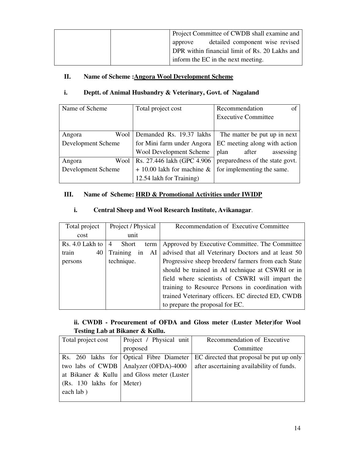| Project Committee of CWDB shall examine and    |
|------------------------------------------------|
| detailed component wise revised<br>approve     |
| DPR within financial limit of Rs. 20 Lakhs and |
| inform the EC in the next meeting.             |

#### **II.** Name of Scheme : Angora Wool Development Scheme

#### **i. Deptt. of Animal Husbandry & Veterinary, Govt. of Nagaland**

| Name of Scheme     | Total project cost             | Recommendation<br>of            |  |
|--------------------|--------------------------------|---------------------------------|--|
|                    |                                | <b>Executive Committee</b>      |  |
|                    |                                |                                 |  |
| Wool<br>Angora     | Demanded Rs. 19.37 lakhs       | The matter be put up in next    |  |
| Development Scheme | for Mini farm under Angora     | EC meeting along with action    |  |
|                    | <b>Wool Development Scheme</b> | plan<br>after<br>assessing      |  |
| Wool<br>Angora     | Rs. 27.446 lakh (GPC 4.906     | preparedness of the state govt. |  |
| Development Scheme | $+ 10.00$ lakh for machine &   | for implementing the same.      |  |
|                    | 12.54 lakh for Training)       |                                 |  |

#### **III. Name of Scheme: HRD & Promotional Activities under IWIDP**

#### **i. Central Sheep and Wool Research Institute, Avikanagar**.

| Total project   | Project / Physical                     | Recommendation of Executive Committee               |
|-----------------|----------------------------------------|-----------------------------------------------------|
| cost            | unit                                   |                                                     |
| Rs. 4.0 Lakh to | <b>Short</b><br>$\overline{4}$<br>term | Approved by Executive Committee. The Committee      |
| train<br>40     | Training<br>in<br>AI                   | advised that all Veterinary Doctors and at least 50 |
| persons         | technique.                             | Progressive sheep breeders/ farmers from each State |
|                 |                                        | should be trained in AI technique at CSWRI or in    |
|                 |                                        | field where scientists of CSWRI will impart the     |
|                 |                                        | training to Resource Persons in coordination with   |
|                 |                                        | trained Veterinary officers. EC directed ED, CWDB   |
|                 |                                        | to prepare the proposal for EC.                     |

## **ii. CWDB - Procurement of OFDA and Gloss meter (Luster Meter)for Wool Testing Lab at Bikaner & Kullu.**

| Total project cost                        | Project / Physical unit                      | Recommendation of Executive               |
|-------------------------------------------|----------------------------------------------|-------------------------------------------|
|                                           | proposed                                     | Committee                                 |
|                                           | Rs. 260 lakhs for Optical Fibre Diameter     | EC directed that proposal be put up only  |
|                                           | two labs of CWDB   Analyzer (OFDA)-4000      | after ascertaining availability of funds. |
|                                           | at Bikaner & Kullu   and Gloss meter (Luster |                                           |
| (Rs. 130 lakhs for $ \text{Meter}\rangle$ |                                              |                                           |
| each lab)                                 |                                              |                                           |
|                                           |                                              |                                           |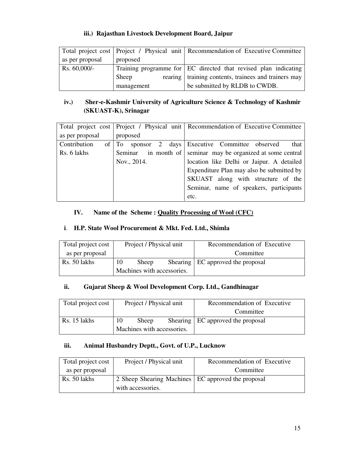#### **iii.) Rajasthan Livestock Development Board, Jaipur**

|                 |            | Total project cost   Project / Physical unit   Recommendation of Executive Committee |
|-----------------|------------|--------------------------------------------------------------------------------------|
| as per proposal | proposed   |                                                                                      |
| $Rs. 60,000/-$  |            | Training programme for EC directed that revised plan indicating                      |
|                 | Sheep      | rearing   training contents, trainees and trainers may                               |
|                 | management | be submitted by RLDB to CWDB.                                                        |

# **iv.) Sher-e-Kashmir University of Agriculture Science & Technology of Kashmir (SKUAST-K), Srinagar**

|                 |             | Total project cost   Project / Physical unit   Recommendation of Executive Committee |  |
|-----------------|-------------|--------------------------------------------------------------------------------------|--|
| as per proposal | proposed    |                                                                                      |  |
| Contribution    |             | of To sponsor 2 days Executive Committee observed<br>that                            |  |
| Rs. 6 lakhs     | Seminar     | in month of seminar may be organized at some central                                 |  |
|                 | Nov., 2014. | location like Delhi or Jaipur. A detailed                                            |  |
|                 |             | Expenditure Plan may also be submitted by                                            |  |
|                 |             | SKUAST along with structure of the                                                   |  |
|                 |             | Seminar, name of speakers, participants                                              |  |
|                 |             | etc.                                                                                 |  |

## **IV. Name of the Scheme : Quality Processing of Wool (CFC)**

#### **i**. **H.P. State Wool Procurement & Mkt. Fed. Ltd., Shimla**

| Total project cost | Project / Physical unit    |       |  | Recommendation of Executive         |
|--------------------|----------------------------|-------|--|-------------------------------------|
| as per proposal    |                            |       |  | Committee                           |
| Rs. 50 lakhs       | 10                         | Sheep |  | Shearing   EC approved the proposal |
|                    | Machines with accessories. |       |  |                                     |

#### **ii. Gujarat Sheep & Wool Development Corp. Ltd., Gandhinagar**

| Total project cost | Project / Physical unit    |       |  | Recommendation of Executive         |
|--------------------|----------------------------|-------|--|-------------------------------------|
|                    |                            |       |  | Committee                           |
| Rs. 15 lakhs       | 10                         | Sheep |  | Shearing   EC approved the proposal |
|                    | Machines with accessories. |       |  |                                     |

#### **iii. Animal Husbandry Deptt., Govt. of U.P., Lucknow**

| Total project cost | Project / Physical unit                              | Recommendation of Executive |
|--------------------|------------------------------------------------------|-----------------------------|
| as per proposal    |                                                      | Committee                   |
| Rs. 50 lakhs       | 2 Sheep Shearing Machines   EC approved the proposal |                             |
|                    | with accessories.                                    |                             |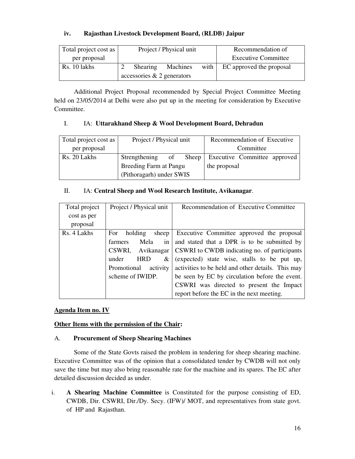#### **iv. Rajasthan Livestock Development Board, (RLDB) Jaipur**

| Total project cost as | Project / Physical unit |                               |          |  | Recommendation of             |
|-----------------------|-------------------------|-------------------------------|----------|--|-------------------------------|
| per proposal          |                         |                               |          |  | <b>Executive Committee</b>    |
| Rs. 10 lakhs          |                         | Shearing                      | Machines |  | with EC approved the proposal |
|                       |                         | accessories $\&$ 2 generators |          |  |                               |

 Additional Project Proposal recommended by Special Project Committee Meeting held on 23/05/2014 at Delhi were also put up in the meeting for consideration by Executive Committee.

#### I. IA: **Uttarakhand Sheep & Wool Development Board, Dehradun**

| Total project cost as | Project / Physical unit  |    |  | Recommendation of Executive |                                    |  |
|-----------------------|--------------------------|----|--|-----------------------------|------------------------------------|--|
| per proposal          |                          |    |  |                             | Committee                          |  |
| Rs. 20 Lakhs          | Strengthening            | of |  |                             | Sheep Executive Committee approved |  |
|                       | Breeding Farm at Pangu   |    |  | the proposal                |                                    |  |
|                       | (Pithoragarh) under SWIS |    |  |                             |                                    |  |

#### II. IA: **Central Sheep and Wool Research Institute, Avikanagar**.

| Total project | Project / Physical unit      | Recommendation of Executive Committee             |
|---------------|------------------------------|---------------------------------------------------|
| cost as per   |                              |                                                   |
| proposal      |                              |                                                   |
| Rs. 4 Lakhs   | holding<br>For<br>sheep      | Executive Committee approved the proposal         |
|               | in<br>Mela<br><b>farmers</b> | and stated that a DPR is to be submitted by       |
|               | CSWRI, Avikanagar            | CSWRI to CWDB indicating no. of participants      |
|               | under<br><b>HRD</b><br>&     | (expected) state wise, stalls to be put up,       |
|               | Promotional activity         | activities to be held and other details. This may |
|               | scheme of IWIDP.             | be seen by EC by circulation before the event.    |
|               |                              | CSWRI was directed to present the Impact          |
|               |                              | report before the EC in the next meeting.         |

#### **Agenda Item no. IV**

#### **Other Items with the permission of the Chair:**

#### A. **Procurement of Sheep Shearing Machines**

 Some of the State Govts raised the problem in tendering for sheep shearing machine. Executive Committee was of the opinion that a consolidated tender by CWDB will not only save the time but may also bring reasonable rate for the machine and its spares. The EC after detailed discussion decided as under.

i. **A Shearing Machine Committee** is Constituted for the purpose consisting of ED, CWDB, Dir. CSWRI, Dir./Dy. Secy. (IFW)/ MOT, and representatives from state govt. of HP and Rajasthan.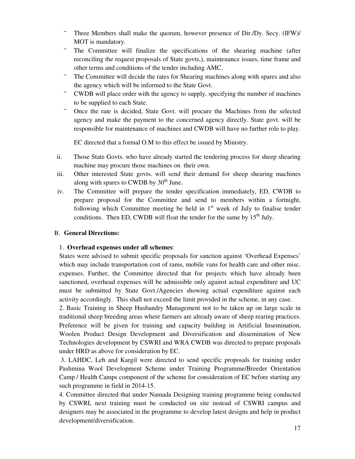- Three Members shall make the quorum, however presence of Dir./Dy. Secy. (IFW)/ MOT is mandatory.
- The Committee will finalize the specifications of the shearing machine (after reconciling the request proposals of State govts,), maintenance issues, time frame and other terms and conditions of the tender including AMC.
- <sup>-</sup> The Committee will decide the rates for Shearing machines along with spares and also the agency which will be informed to the State Govt.
- CWDB will place order with the agency to supply, specifying the number of machines to be supplied to each State.
- Once the rate is decided, State Govt. will procure the Machines from the selected agency and make the payment to the concerned agency directly. State govt. will be responsible for maintenance of machines and CWDB will have no further role to play.

EC directed that a formal O.M to this effect be issued by Ministry.

- ii. Those State Govts. who have already started the tendering process for sheep shearing machine may procure those machines on their own.
- iii. Other interested State govts. will send their demand for sheep shearing machines along with spares to CWDB by  $30<sup>th</sup>$  June.
- iv. The Committee will prepare the tender specification immediately, ED, CWDB to prepare proposal for the Committee and send to members within a fortnight, following which Committee meeting be held in  $1<sup>st</sup>$  week of July to finalise tender conditions. Then ED, CWDB will float the tender for the same by  $15<sup>th</sup>$  July.

#### B. **General Directions:**

#### 1. **Overhead expenses under all schemes**:

States were advised to submit specific proposals for sanction against 'Overhead Expenses' which may include transportation cost of rams, mobile vans for health care and other misc. expenses. Further, the Committee directed that for projects which have already been sanctioned, overhead expenses will be admissible only against actual expenditure and UC must be submitted by State Govt./Agencies showing actual expenditure against each activity accordingly. This shall not exceed the limit provided in the scheme, in any case.

2. Basic Training in Sheep Husbandry Management not to be taken up on large scale in traditional sheep breeding areas where farmers are already aware of sheep rearing practices. Preference will be given for training and capacity building in Artificial Insemination, Woolen Product Design Development and Diversification and dissemination of New Technologies development by CSWRI and WRA CWDB was directed to prepare proposals under HRD as above for consideration by EC.

 3. LAHDC, Leh and Kargil were directed to send specific proposals for training under Pashmina Wool Development Scheme under Training Programme/Breeder Orientation Camp / Health Camps component of the scheme for consideration of EC before starting any such programme in field in 2014-15.

4. Committee directed that under Namada Designing training programme being conducted by CSWRI, next training must be conducted on site instead of CSWRI campus and designers may be associated in the programme to develop latest designs and help in product development/diversification.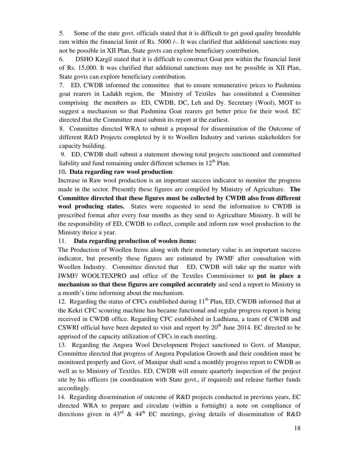5. Some of the state govt. officials stated that it is difficult to get good quality breedable ram within the financial limit of Rs. 5000 /-. It was clarified that additional sanctions may not be possible in XII Plan, State govts can explore beneficiary contribution.

6. DSHO Kargil stated that it is difficult to construct Goat pen within the financial limit of Rs. 15,000. It was clarified that additional sanctions may not be possible in XII Plan, State govts can explore beneficiary contribution.

7. ED, CWDB informed the committee that to ensure remunerative prices to Pashmina goat rearers in Ladakh region, the Ministry of Textiles has constituted a Committee comprising the members as ED, CWDB, DC, Leh and Dy. Secretary (Wool), MOT to suggest a mechanism so that Pashmina Goat rearers get better price for their wool. EC directed that the Committee must submit its report at the earliest.

8. Committee directed WRA to submit a proposal for dissemination of the Outcome of different R&D Projects completed by it to Woollen Industry and various stakeholders for capacity building.

 9. ED, CWDB shall submit a statement showing total projects sanctioned and committed liability and fund remaining under different schemes in  $12<sup>th</sup>$  Plan.

#### 10**. Data regarding raw wool production**:

Increase in Raw wool production is an important success indicator to monitor the progress made in the sector. Presently these figures are compiled by Ministry of Agriculture. **The Committee directed that these figures must be collected by CWDB also from different wool producing states.** States were requested to send the information to CWDB in prescribed format after every four months as they send to Agriculture Ministry. It will be the responsibility of ED, CWDB to collect, compile and inform raw wool production to the Ministry thrice a year.

#### 11. **Data regarding production of woolen items:**

The Production of Woollen Items along with their monetary value is an important success indicator, but presently these figures are estimated by IWMF after consultation with Woollen Industry. Committee directed that ED, CWDB will take up the matter with IWMF/ WOOLTEXPRO and office of the Textiles Commissioner to **put in place a mechanism so that these figures are compiled accurately** and send a report to Ministry in a month's time informing about the mechanism.

12. Regarding the status of CFCs established during  $11<sup>th</sup>$  Plan, ED, CWDB informed that at the Kekri CFC scouring machine has became functional and regular progress report is being received in CWDB office. Regarding CFC established in Ludhiana, a team of CWDB and CSWRI official have been deputed to visit and report by  $20<sup>th</sup>$  June 2014. EC directed to be apprised of the capacity utilization of CFCs in each meeting.

13. Regarding the Angora Wool Development Project sanctioned to Govt. of Manipur, Committee directed that progress of Angora Population Growth and their condition must be monitored properly and Govt. of Manipur shall send a monthly progress report to CWDB as well as to Ministry of Textiles. ED, CWDB will ensure quarterly inspection of the project site by his officers (in coordination with State govt., if required) and release further funds accordingly.

 14. Regarding dissemination of outcome of R&D projects conducted in previous years, EC directed WRA to prepare and circulate (within a fortnight) a note on compliance of directions given in 43<sup>rd</sup> & 44<sup>th</sup> EC meetings, giving details of dissemination of R&D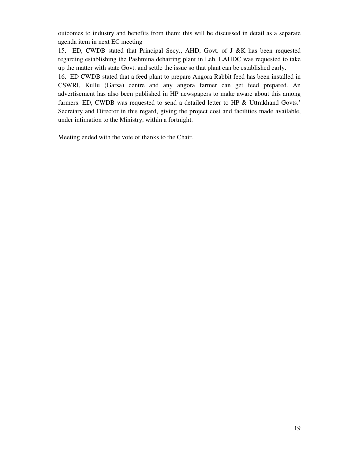outcomes to industry and benefits from them; this will be discussed in detail as a separate agenda item in next EC meeting

15. ED, CWDB stated that Principal Secy., AHD, Govt. of J &K has been requested regarding establishing the Pashmina dehairing plant in Leh. LAHDC was requested to take up the matter with state Govt. and settle the issue so that plant can be established early.

16. ED CWDB stated that a feed plant to prepare Angora Rabbit feed has been installed in CSWRI, Kullu (Garsa) centre and any angora farmer can get feed prepared. An advertisement has also been published in HP newspapers to make aware about this among farmers. ED, CWDB was requested to send a detailed letter to HP & Uttrakhand Govts.' Secretary and Director in this regard, giving the project cost and facilities made available, under intimation to the Ministry, within a fortnight.

Meeting ended with the vote of thanks to the Chair.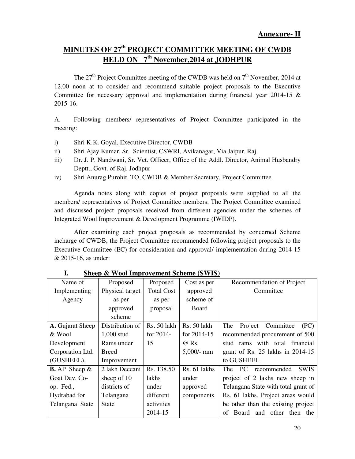# **MINUTES OF 27th PROJECT COMMITTEE MEETING OF CWDB HELD ON 7th November,2014 at JODHPUR**

The  $27<sup>th</sup>$  Project Committee meeting of the CWDB was held on  $7<sup>th</sup>$  November, 2014 at 12.00 noon at to consider and recommend suitable project proposals to the Executive Committee for necessary approval and implementation during financial year 2014-15 & 2015-16.

A. Following members/ representatives of Project Committee participated in the meeting:

- i) Shri K.K. Goyal, Executive Director, CWDB
- ii) Shri Ajay Kumar, Sr. Scientist, CSWRI, Avikanagar, Via Jaipur, Raj.
- iii) Dr. J. P. Nandwani, Sr. Vet. Officer, Office of the Addl. Director, Animal Husbandry Deptt., Govt. of Raj. Jodhpur
- iv) Shri Anurag Purohit, TO, CWDB & Member Secretary, Project Committee.

 Agenda notes along with copies of project proposals were supplied to all the members/ representatives of Project Committee members. The Project Committee examined and discussed project proposals received from different agencies under the schemes of Integrated Wool Improvement & Development Programme (IWIDP).

 After examining each project proposals as recommended by concerned Scheme incharge of CWDB, the Project Committee recommended following project proposals to the Executive Committee (EC) for consideration and approval/ implementation during 2014-15 & 2015-16, as under:

| Name of                 | Proposed        | Proposed          | Cost as per   | Recommendation of Project                       |
|-------------------------|-----------------|-------------------|---------------|-------------------------------------------------|
| Implementing            | Physical target | <b>Total Cost</b> | approved      | Committee                                       |
| Agency                  | as per          | as per            | scheme of     |                                                 |
|                         | approved        | proposal          | Board         |                                                 |
|                         | scheme          |                   |               |                                                 |
| A. Gujarat Sheep        | Distribution of | Rs. 50 lakh       | Rs. 50 lakh   | The<br>Project<br>Committee<br>(PC)             |
| & Wool                  | 1,000 stud      | for $2014$ -      | for $2014-15$ | recommended procurement of 500                  |
| Development             | Rams under      | 15                | @ Rs.         | stud rams with total financial                  |
| Corporation Ltd.        | <b>Breed</b>    |                   | 5,000/- ram   | grant of Rs. $25$ lakhs in $2014-15$            |
| (GUSHEEL),              | Improvement     |                   |               | to GUSHEEL.                                     |
| <b>B.</b> AP Sheep $\&$ | 2 lakh Deccani  | Rs. 138.50        | Rs. 61 lakhs  | <b>The</b><br>recommended<br><b>SWIS</b><br>PC. |
| Goat Dev. Co-           | sheep of 10     | lakhs             | under         | project of 2 lakhs new sheep in                 |
| op. Fed.,               | districts of    | under             | approved      | Telangana State with total grant of             |
| Hydrabad for            | Telangana       | different         | components    | Rs. 61 lakhs. Project areas would               |
| Telangana State         | <b>State</b>    | activities        |               | be other than the existing project              |
|                         |                 | 2014-15           |               | and other<br>Board<br>of<br>then the            |

**I. Sheep & Wool Improvement Scheme (SWIS)**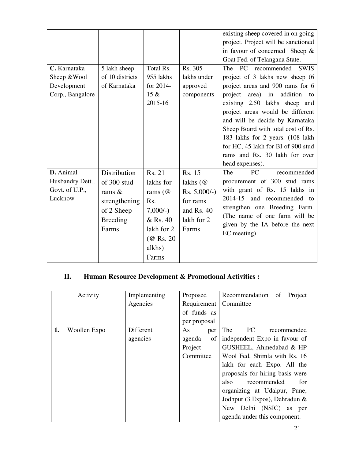| C. Karnataka<br>Sheep & Wool<br>Development<br>Corp., Bangalore | 5 lakh sheep<br>of 10 districts<br>of Karnataka | Total Rs.<br>955 lakhs<br>for 2014-<br>$15 \&$<br>2015-16 | Rs. 305<br>lakhs under<br>approved<br>components | existing sheep covered in on going<br>project. Project will be sanctioned<br>in favour of concerned Sheep $\&$<br>Goat Fed. of Telangana State.<br>The PC recommended<br><b>SWIS</b><br>project of 3 lakhs new sheep (6<br>project areas and 900 rams for 6<br>area) in<br>addition<br>project<br>to<br>existing 2.50 lakhs sheep and<br>project areas would be different<br>and will be decide by Karnataka<br>Sheep Board with total cost of Rs.<br>183 lakhs for 2 years. (108 lakh<br>for HC, 45 lakh for BI of 900 stud<br>rams and Rs. 30 lakh for over<br>head expenses). |
|-----------------------------------------------------------------|-------------------------------------------------|-----------------------------------------------------------|--------------------------------------------------|----------------------------------------------------------------------------------------------------------------------------------------------------------------------------------------------------------------------------------------------------------------------------------------------------------------------------------------------------------------------------------------------------------------------------------------------------------------------------------------------------------------------------------------------------------------------------------|
| D. Animal                                                       | <b>Distribution</b>                             | Rs. 21                                                    | Rs. 15                                           | The<br>PC<br>recommended                                                                                                                                                                                                                                                                                                                                                                                                                                                                                                                                                         |
| Husbandry Dett.,                                                | of 300 stud                                     | lakhs for                                                 | lakhs $(\omega)$                                 | procurement of 300 stud rams                                                                                                                                                                                                                                                                                                                                                                                                                                                                                                                                                     |
| Govt. of U.P.,                                                  | rams $\&$                                       | rams $(\omega)$                                           | $Rs. 5,000/-$ )                                  | with grant of Rs. 15 lakhs in                                                                                                                                                                                                                                                                                                                                                                                                                                                                                                                                                    |
| Lucknow                                                         | strengthening                                   | Rs.                                                       | for rams                                         | 2014-15 and recommended to                                                                                                                                                                                                                                                                                                                                                                                                                                                                                                                                                       |
|                                                                 | of 2 Sheep                                      | $7,000/-$ )                                               | and Rs. $40$                                     | strengthen one Breeding Farm.                                                                                                                                                                                                                                                                                                                                                                                                                                                                                                                                                    |
|                                                                 | <b>Breeding</b>                                 | & Rs. 40                                                  | lakh for 2                                       | (The name of one farm will be<br>given by the IA before the next                                                                                                                                                                                                                                                                                                                                                                                                                                                                                                                 |
|                                                                 | Farms                                           | lakh for 2                                                | Farms                                            | EC meeting)                                                                                                                                                                                                                                                                                                                                                                                                                                                                                                                                                                      |
|                                                                 |                                                 | (@ Rs. 20)                                                |                                                  |                                                                                                                                                                                                                                                                                                                                                                                                                                                                                                                                                                                  |
|                                                                 |                                                 | alkhs)                                                    |                                                  |                                                                                                                                                                                                                                                                                                                                                                                                                                                                                                                                                                                  |
|                                                                 |                                                 | Farms                                                     |                                                  |                                                                                                                                                                                                                                                                                                                                                                                                                                                                                                                                                                                  |

# **II. Human Resource Development & Promotional Activities :**

|    | Activity     | Implementing | Proposed     | Recommendation<br>Project<br>of |
|----|--------------|--------------|--------------|---------------------------------|
|    |              | Agencies     | Requirement  | Committee                       |
|    |              |              | of funds as  |                                 |
|    |              |              | per proposal |                                 |
| 1. | Woollen Expo | Different    | As<br>per    | <b>PC</b><br>The<br>recommended |
|    |              | agencies     | agenda<br>of | independent Expo in favour of   |
|    |              |              | Project      | GUSHEEL, Ahmedabad & HP         |
|    |              |              | Committee    | Wool Fed, Shimla with Rs. 16    |
|    |              |              |              | lakh for each Expo. All the     |
|    |              |              |              | proposals for hiring basis were |
|    |              |              |              | for<br>recommended<br>also      |
|    |              |              |              | organizing at Udaipur, Pune,    |
|    |              |              |              | Jodhpur (3 Expos), Dehradun &   |
|    |              |              |              | New Delhi (NSIC)<br>as<br>per   |
|    |              |              |              | agenda under this component.    |